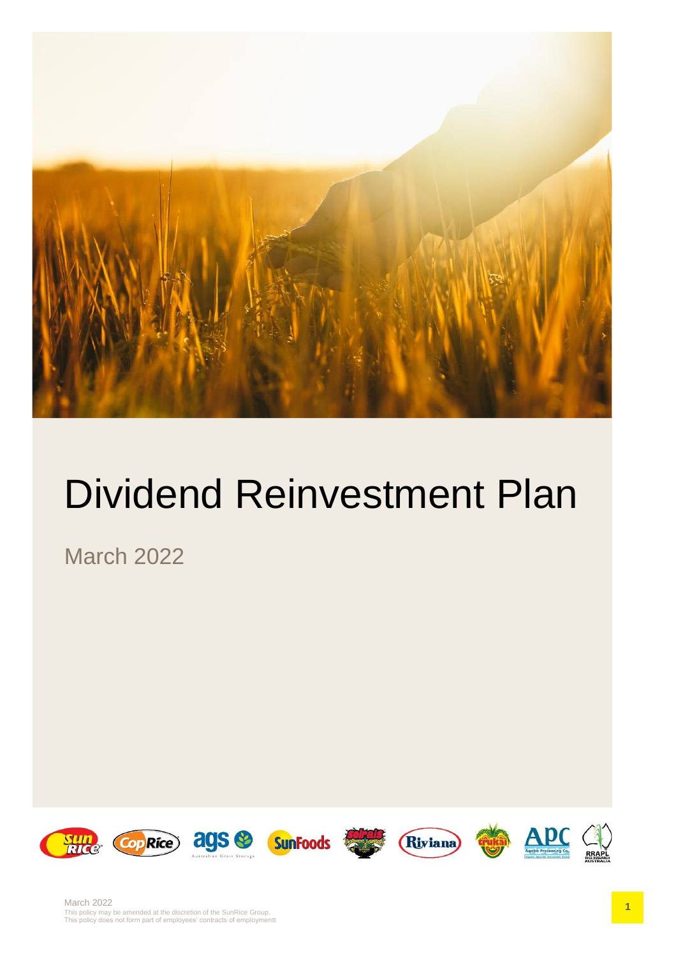

# Dividend Reinvestment Plan

March 2022

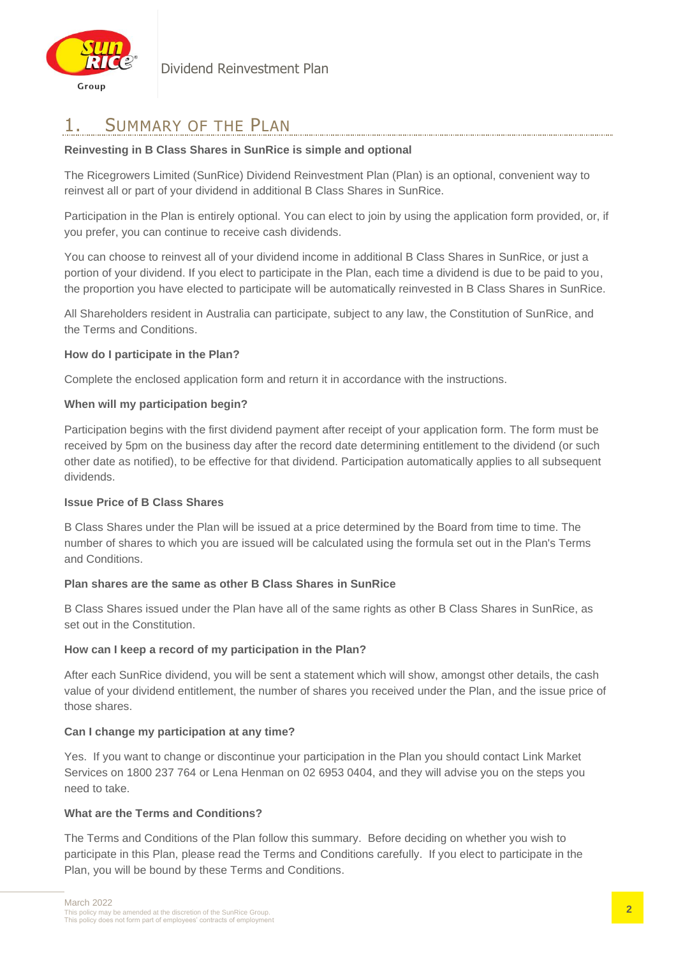

# 1. SUMMARY OF THE PLAN

#### **Reinvesting in B Class Shares in SunRice is simple and optional**

The Ricegrowers Limited (SunRice) Dividend Reinvestment Plan (Plan) is an optional, convenient way to reinvest all or part of your dividend in additional B Class Shares in SunRice.

Participation in the Plan is entirely optional. You can elect to join by using the application form provided, or, if you prefer, you can continue to receive cash dividends.

You can choose to reinvest all of your dividend income in additional B Class Shares in SunRice, or just a portion of your dividend. If you elect to participate in the Plan, each time a dividend is due to be paid to you, the proportion you have elected to participate will be automatically reinvested in B Class Shares in SunRice.

All Shareholders resident in Australia can participate, subject to any law, the Constitution of SunRice, and the Terms and Conditions.

#### **How do I participate in the Plan?**

Complete the enclosed application form and return it in accordance with the instructions.

#### **When will my participation begin?**

Participation begins with the first dividend payment after receipt of your application form. The form must be received by 5pm on the business day after the record date determining entitlement to the dividend (or such other date as notified), to be effective for that dividend. Participation automatically applies to all subsequent dividends.

#### **Issue Price of B Class Shares**

B Class Shares under the Plan will be issued at a price determined by the Board from time to time. The number of shares to which you are issued will be calculated using the formula set out in the Plan's Terms and Conditions.

#### **Plan shares are the same as other B Class Shares in SunRice**

B Class Shares issued under the Plan have all of the same rights as other B Class Shares in SunRice, as set out in the Constitution.

#### **How can I keep a record of my participation in the Plan?**

After each SunRice dividend, you will be sent a statement which will show, amongst other details, the cash value of your dividend entitlement, the number of shares you received under the Plan, and the issue price of those shares.

#### **Can I change my participation at any time?**

Yes. If you want to change or discontinue your participation in the Plan you should contact Link Market Services on 1800 237 764 or Lena Henman on 02 6953 0404, and they will advise you on the steps you need to take.

#### **What are the Terms and Conditions?**

The Terms and Conditions of the Plan follow this summary. Before deciding on whether you wish to participate in this Plan, please read the Terms and Conditions carefully. If you elect to participate in the Plan, you will be bound by these Terms and Conditions.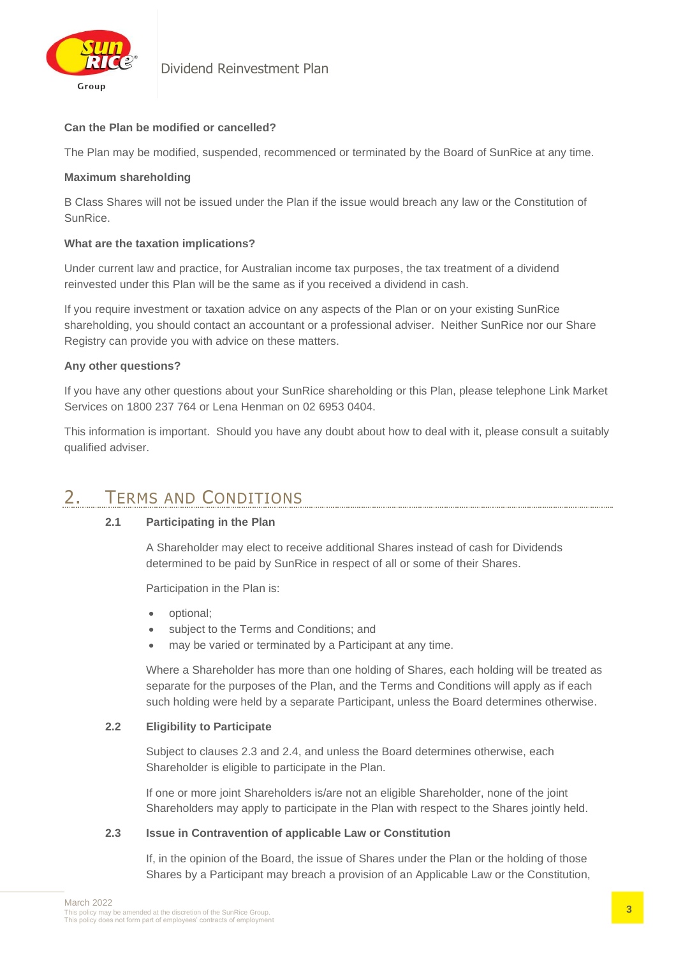

#### **Can the Plan be modified or cancelled?**

The Plan may be modified, suspended, recommenced or terminated by the Board of SunRice at any time.

#### **Maximum shareholding**

B Class Shares will not be issued under the Plan if the issue would breach any law or the Constitution of SunRice.

#### **What are the taxation implications?**

Under current law and practice, for Australian income tax purposes, the tax treatment of a dividend reinvested under this Plan will be the same as if you received a dividend in cash.

If you require investment or taxation advice on any aspects of the Plan or on your existing SunRice shareholding, you should contact an accountant or a professional adviser. Neither SunRice nor our Share Registry can provide you with advice on these matters.

#### **Any other questions?**

If you have any other questions about your SunRice shareholding or this Plan, please telephone Link Market Services on 1800 237 764 or Lena Henman on 02 6953 0404.

This information is important. Should you have any doubt about how to deal with it, please consult a suitably qualified adviser.

# 2. TERMS AND CONDITIONS

#### **2.1 Participating in the Plan**

A Shareholder may elect to receive additional Shares instead of cash for Dividends determined to be paid by SunRice in respect of all or some of their Shares.

Participation in the Plan is:

- optional;
- subject to the Terms and Conditions; and
- may be varied or terminated by a Participant at any time.

Where a Shareholder has more than one holding of Shares, each holding will be treated as separate for the purposes of the Plan, and the Terms and Conditions will apply as if each such holding were held by a separate Participant, unless the Board determines otherwise.

#### **2.2 Eligibility to Participate**

Subject to clauses 2.3 and 2.4, and unless the Board determines otherwise, each Shareholder is eligible to participate in the Plan.

If one or more joint Shareholders is/are not an eligible Shareholder, none of the joint Shareholders may apply to participate in the Plan with respect to the Shares jointly held.

#### **2.3 Issue in Contravention of applicable Law or Constitution**

If, in the opinion of the Board, the issue of Shares under the Plan or the holding of those Shares by a Participant may breach a provision of an Applicable Law or the Constitution,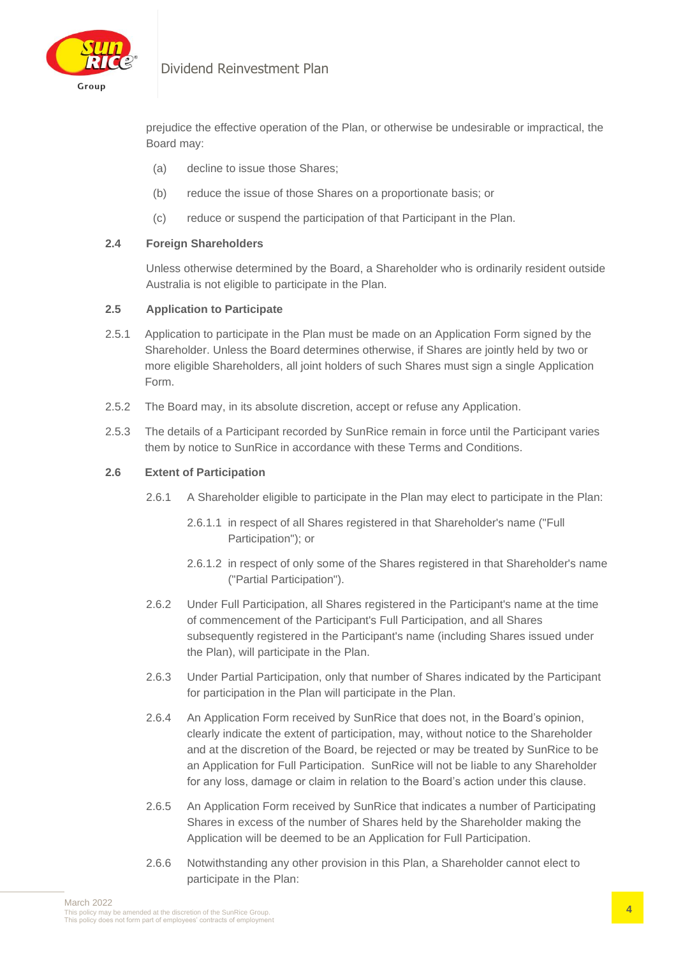

### Dividend Reinvestment Plan

prejudice the effective operation of the Plan, or otherwise be undesirable or impractical, the Board may:

- (a) decline to issue those Shares;
- (b) reduce the issue of those Shares on a proportionate basis; or
- (c) reduce or suspend the participation of that Participant in the Plan.

#### **2.4 Foreign Shareholders**

Unless otherwise determined by the Board, a Shareholder who is ordinarily resident outside Australia is not eligible to participate in the Plan.

#### **2.5 Application to Participate**

- 2.5.1 Application to participate in the Plan must be made on an Application Form signed by the Shareholder. Unless the Board determines otherwise, if Shares are jointly held by two or more eligible Shareholders, all joint holders of such Shares must sign a single Application Form.
- 2.5.2 The Board may, in its absolute discretion, accept or refuse any Application.
- 2.5.3 The details of a Participant recorded by SunRice remain in force until the Participant varies them by notice to SunRice in accordance with these Terms and Conditions.

#### **2.6 Extent of Participation**

- 2.6.1 A Shareholder eligible to participate in the Plan may elect to participate in the Plan:
	- 2.6.1.1 in respect of all Shares registered in that Shareholder's name ("Full Participation"); or
	- 2.6.1.2 in respect of only some of the Shares registered in that Shareholder's name ("Partial Participation").
- 2.6.2 Under Full Participation, all Shares registered in the Participant's name at the time of commencement of the Participant's Full Participation, and all Shares subsequently registered in the Participant's name (including Shares issued under the Plan), will participate in the Plan.
- 2.6.3 Under Partial Participation, only that number of Shares indicated by the Participant for participation in the Plan will participate in the Plan.
- 2.6.4 An Application Form received by SunRice that does not, in the Board's opinion, clearly indicate the extent of participation, may, without notice to the Shareholder and at the discretion of the Board, be rejected or may be treated by SunRice to be an Application for Full Participation. SunRice will not be liable to any Shareholder for any loss, damage or claim in relation to the Board's action under this clause.
- 2.6.5 An Application Form received by SunRice that indicates a number of Participating Shares in excess of the number of Shares held by the Shareholder making the Application will be deemed to be an Application for Full Participation.
- 2.6.6 Notwithstanding any other provision in this Plan, a Shareholder cannot elect to participate in the Plan: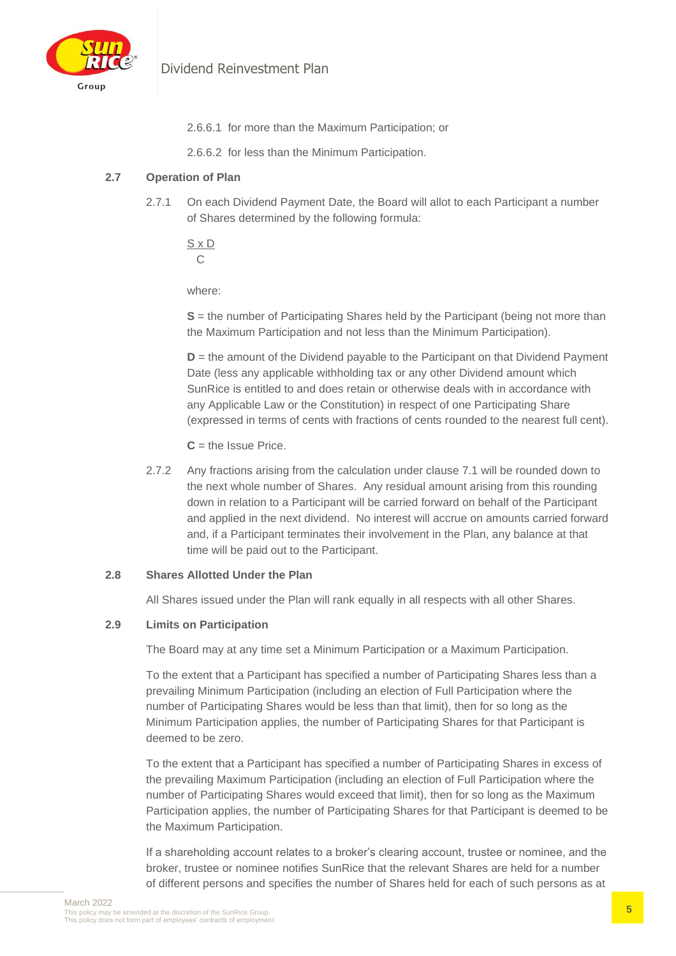

- 2.6.6.1 for more than the Maximum Participation; or
- 2.6.6.2 for less than the Minimum Participation.

#### **2.7 Operation of Plan**

2.7.1 On each Dividend Payment Date, the Board will allot to each Participant a number of Shares determined by the following formula:

S x D  $\mathcal{C}$ 

where:

**S** = the number of Participating Shares held by the Participant (being not more than the Maximum Participation and not less than the Minimum Participation).

**D** = the amount of the Dividend payable to the Participant on that Dividend Payment Date (less any applicable withholding tax or any other Dividend amount which SunRice is entitled to and does retain or otherwise deals with in accordance with any Applicable Law or the Constitution) in respect of one Participating Share (expressed in terms of cents with fractions of cents rounded to the nearest full cent).

 $C =$  the Issue Price.

2.7.2 Any fractions arising from the calculation under clause 7.1 will be rounded down to the next whole number of Shares. Any residual amount arising from this rounding down in relation to a Participant will be carried forward on behalf of the Participant and applied in the next dividend. No interest will accrue on amounts carried forward and, if a Participant terminates their involvement in the Plan, any balance at that time will be paid out to the Participant.

#### **2.8 Shares Allotted Under the Plan**

All Shares issued under the Plan will rank equally in all respects with all other Shares.

#### **2.9 Limits on Participation**

The Board may at any time set a Minimum Participation or a Maximum Participation.

To the extent that a Participant has specified a number of Participating Shares less than a prevailing Minimum Participation (including an election of Full Participation where the number of Participating Shares would be less than that limit), then for so long as the Minimum Participation applies, the number of Participating Shares for that Participant is deemed to be zero.

To the extent that a Participant has specified a number of Participating Shares in excess of the prevailing Maximum Participation (including an election of Full Participation where the number of Participating Shares would exceed that limit), then for so long as the Maximum Participation applies, the number of Participating Shares for that Participant is deemed to be the Maximum Participation.

If a shareholding account relates to a broker's clearing account, trustee or nominee, and the broker, trustee or nominee notifies SunRice that the relevant Shares are held for a number of different persons and specifies the number of Shares held for each of such persons as at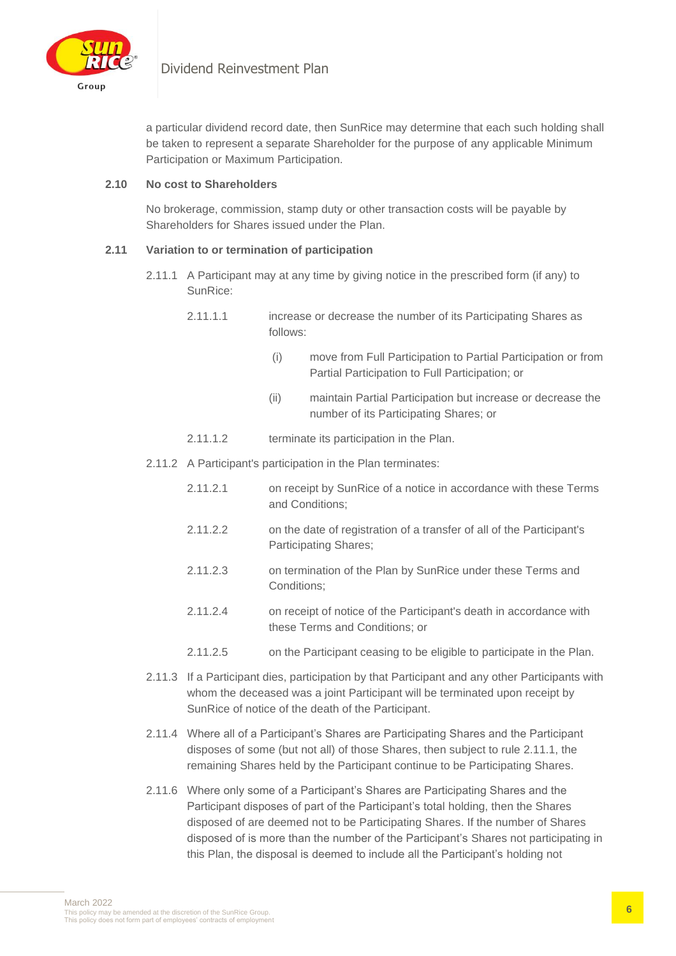

a particular dividend record date, then SunRice may determine that each such holding shall be taken to represent a separate Shareholder for the purpose of any applicable Minimum Participation or Maximum Participation.

#### **2.10 No cost to Shareholders**

No brokerage, commission, stamp duty or other transaction costs will be payable by Shareholders for Shares issued under the Plan.

#### **2.11 Variation to or termination of participation**

- 2.11.1 A Participant may at any time by giving notice in the prescribed form (if any) to SunRice:
	- 2.11.1.1 increase or decrease the number of its Participating Shares as follows:
		- (i) move from Full Participation to Partial Participation or from Partial Participation to Full Participation; or
		- (ii) maintain Partial Participation but increase or decrease the number of its Participating Shares; or
	- 2.11.1.2 terminate its participation in the Plan.
- 2.11.2 A Participant's participation in the Plan terminates:
	- 2.11.2.1 on receipt by SunRice of a notice in accordance with these Terms and Conditions;
	- 2.11.2.2 on the date of registration of a transfer of all of the Participant's Participating Shares;
	- 2.11.2.3 on termination of the Plan by SunRice under these Terms and Conditions;
	- 2.11.2.4 on receipt of notice of the Participant's death in accordance with these Terms and Conditions; or
	- 2.11.2.5 on the Participant ceasing to be eligible to participate in the Plan.
- 2.11.3 If a Participant dies, participation by that Participant and any other Participants with whom the deceased was a joint Participant will be terminated upon receipt by SunRice of notice of the death of the Participant.
- 2.11.4 Where all of a Participant's Shares are Participating Shares and the Participant disposes of some (but not all) of those Shares, then subject to rule 2.11.1, the remaining Shares held by the Participant continue to be Participating Shares.
- 2.11.6 Where only some of a Participant's Shares are Participating Shares and the Participant disposes of part of the Participant's total holding, then the Shares disposed of are deemed not to be Participating Shares. If the number of Shares disposed of is more than the number of the Participant's Shares not participating in this Plan, the disposal is deemed to include all the Participant's holding not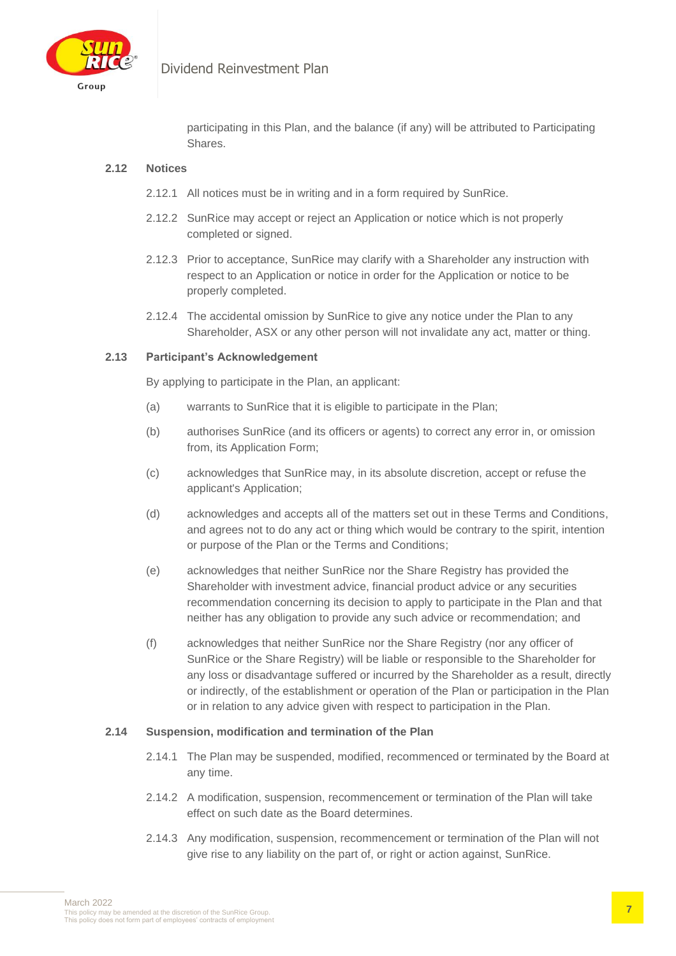

## Dividend Reinvestment Plan

participating in this Plan, and the balance (if any) will be attributed to Participating Shares.

#### **2.12 Notices**

- 2.12.1 All notices must be in writing and in a form required by SunRice.
- 2.12.2 SunRice may accept or reject an Application or notice which is not properly completed or signed.
- 2.12.3 Prior to acceptance, SunRice may clarify with a Shareholder any instruction with respect to an Application or notice in order for the Application or notice to be properly completed.
- 2.12.4 The accidental omission by SunRice to give any notice under the Plan to any Shareholder, ASX or any other person will not invalidate any act, matter or thing.

#### **2.13 Participant's Acknowledgement**

By applying to participate in the Plan, an applicant:

- (a) warrants to SunRice that it is eligible to participate in the Plan;
- (b) authorises SunRice (and its officers or agents) to correct any error in, or omission from, its Application Form;
- (c) acknowledges that SunRice may, in its absolute discretion, accept or refuse the applicant's Application;
- (d) acknowledges and accepts all of the matters set out in these Terms and Conditions, and agrees not to do any act or thing which would be contrary to the spirit, intention or purpose of the Plan or the Terms and Conditions;
- (e) acknowledges that neither SunRice nor the Share Registry has provided the Shareholder with investment advice, financial product advice or any securities recommendation concerning its decision to apply to participate in the Plan and that neither has any obligation to provide any such advice or recommendation; and
- (f) acknowledges that neither SunRice nor the Share Registry (nor any officer of SunRice or the Share Registry) will be liable or responsible to the Shareholder for any loss or disadvantage suffered or incurred by the Shareholder as a result, directly or indirectly, of the establishment or operation of the Plan or participation in the Plan or in relation to any advice given with respect to participation in the Plan.

#### **2.14 Suspension, modification and termination of the Plan**

- 2.14.1 The Plan may be suspended, modified, recommenced or terminated by the Board at any time.
- 2.14.2 A modification, suspension, recommencement or termination of the Plan will take effect on such date as the Board determines.
- 2.14.3 Any modification, suspension, recommencement or termination of the Plan will not give rise to any liability on the part of, or right or action against, SunRice.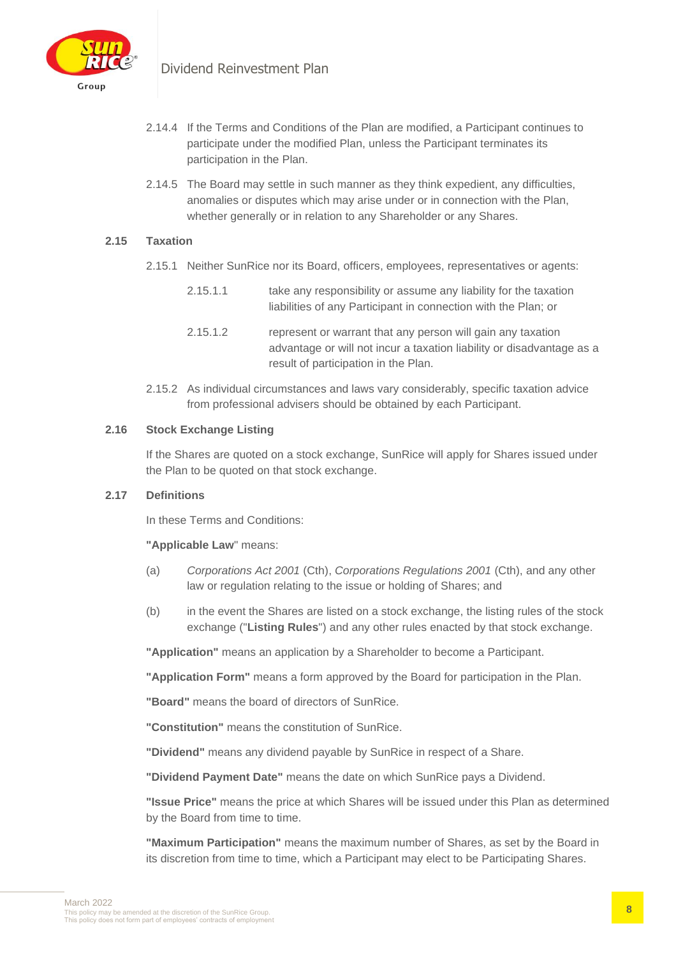

- 2.14.4 If the Terms and Conditions of the Plan are modified, a Participant continues to participate under the modified Plan, unless the Participant terminates its participation in the Plan.
- 2.14.5 The Board may settle in such manner as they think expedient, any difficulties, anomalies or disputes which may arise under or in connection with the Plan, whether generally or in relation to any Shareholder or any Shares.

#### **2.15 Taxation**

- 2.15.1 Neither SunRice nor its Board, officers, employees, representatives or agents:
	- 2.15.1.1 take any responsibility or assume any liability for the taxation liabilities of any Participant in connection with the Plan; or
	- 2.15.1.2 represent or warrant that any person will gain any taxation advantage or will not incur a taxation liability or disadvantage as a result of participation in the Plan.
- 2.15.2 As individual circumstances and laws vary considerably, specific taxation advice from professional advisers should be obtained by each Participant.

#### **2.16 Stock Exchange Listing**

If the Shares are quoted on a stock exchange, SunRice will apply for Shares issued under the Plan to be quoted on that stock exchange.

#### **2.17 Definitions**

In these Terms and Conditions:

#### **"Applicable Law**" means:

- (a) *Corporations Act 2001* (Cth), *Corporations Regulations 2001* (Cth), and any other law or regulation relating to the issue or holding of Shares; and
- (b) in the event the Shares are listed on a stock exchange, the listing rules of the stock exchange ("**Listing Rules**") and any other rules enacted by that stock exchange.

**"Application"** means an application by a Shareholder to become a Participant.

**"Application Form"** means a form approved by the Board for participation in the Plan.

**"Board"** means the board of directors of SunRice.

**"Constitution"** means the constitution of SunRice.

**"Dividend"** means any dividend payable by SunRice in respect of a Share.

**"Dividend Payment Date"** means the date on which SunRice pays a Dividend.

**"Issue Price"** means the price at which Shares will be issued under this Plan as determined by the Board from time to time.

**"Maximum Participation"** means the maximum number of Shares, as set by the Board in its discretion from time to time, which a Participant may elect to be Participating Shares.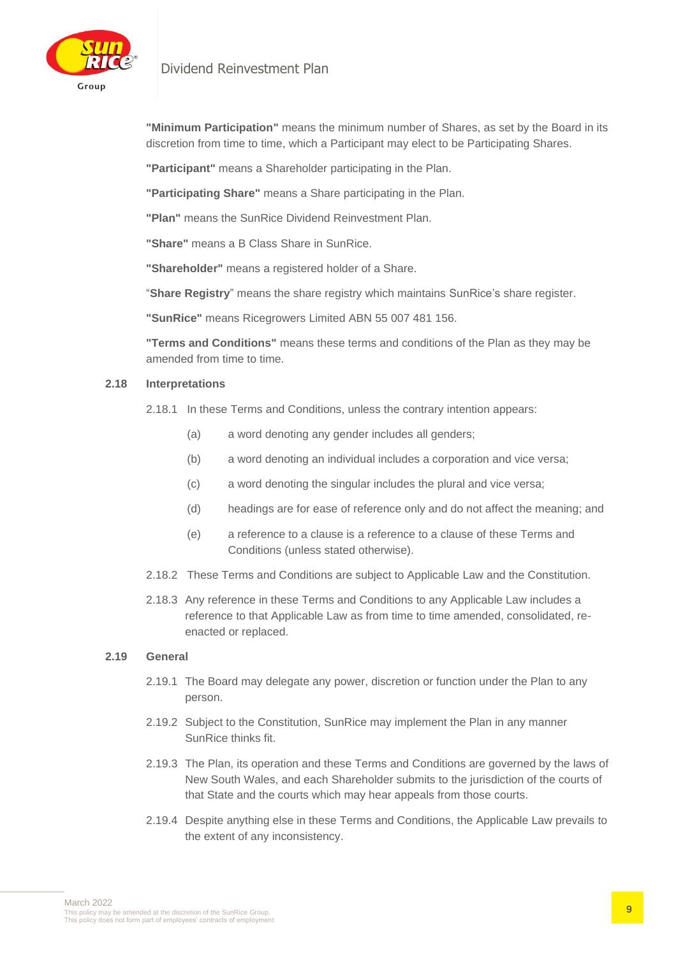



**"Minimum Participation"** means the minimum number of Shares, as set by the Board in its discretion from time to time, which a Participant may elect to be Participating Shares.

**"Participant"** means a Shareholder participating in the Plan.

**"Participating Share"** means a Share participating in the Plan.

**"Plan"** means the SunRice Dividend Reinvestment Plan.

**"Share"** means a B Class Share in SunRice.

**"Shareholder"** means a registered holder of a Share.

"**Share Registry**" means the share registry which maintains SunRice's share register.

**"SunRice"** means Ricegrowers Limited ABN 55 007 481 156.

**"Terms and Conditions"** means these terms and conditions of the Plan as they may be amended from time to time.

#### **2.18 Interpretations**

2.18.1 In these Terms and Conditions, unless the contrary intention appears:

- (a) a word denoting any gender includes all genders;
- (b) a word denoting an individual includes a corporation and vice versa;
- (c) a word denoting the singular includes the plural and vice versa;
- (d) headings are for ease of reference only and do not affect the meaning; and
- (e) a reference to a clause is a reference to a clause of these Terms and Conditions (unless stated otherwise).
- 2.18.2 These Terms and Conditions are subject to Applicable Law and the Constitution.
- 2.18.3 Any reference in these Terms and Conditions to any Applicable Law includes a reference to that Applicable Law as from time to time amended, consolidated, reenacted or replaced.

#### **2.19 General**

- 2.19.1 The Board may delegate any power, discretion or function under the Plan to any person.
- 2.19.2 Subject to the Constitution, SunRice may implement the Plan in any manner SunRice thinks fit.
- 2.19.3 The Plan, its operation and these Terms and Conditions are governed by the laws of New South Wales, and each Shareholder submits to the jurisdiction of the courts of that State and the courts which may hear appeals from those courts.
- 2.19.4 Despite anything else in these Terms and Conditions, the Applicable Law prevails to the extent of any inconsistency.